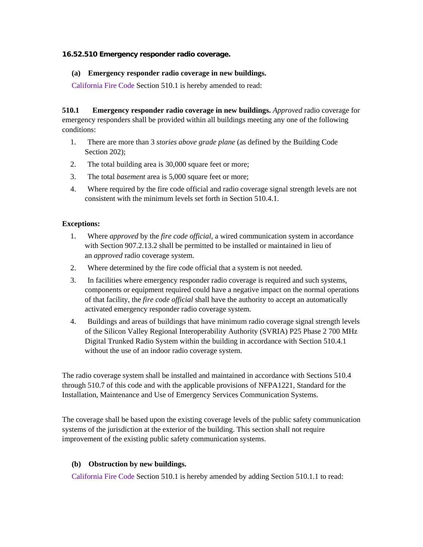### **16.52.510 Emergency responder radio coverage.**

### **(a) Emergency responder radio coverage in new buildings.**

California Fire Code Section 510.1 is hereby amended to read:

**510.1 Emergency responder radio coverage in new buildings.** *Approved* radio coverage for emergency responders shall be provided within all buildings meeting any one of the following conditions:

- 1. There are more than 3 *stories above grade plane* (as defined by the Building Code Section 202):
- 2. The total building area is 30,000 square feet or more;
- 3. The total *basement* area is 5,000 square feet or more;
- 4. Where required by the fire code official and radio coverage signal strength levels are not consistent with the minimum levels set forth in Section 510.4.1.

## **Exceptions:**

- 1. Where *approved* by the *fire code official*, a wired communication system in accordance with Section 907.2.13.2 shall be permitted to be installed or maintained in lieu of an *approved* radio coverage system.
- 2. Where determined by the fire code official that a system is not needed.
- 3. In facilities where emergency responder radio coverage is required and such systems, components or equipment required could have a negative impact on the normal operations of that facility, the *fire code official* shall have the authority to accept an automatically activated emergency responder radio coverage system.
- 4. Buildings and areas of buildings that have minimum radio coverage signal strength levels of the Silicon Valley Regional Interoperability Authority (SVRIA) P25 Phase 2 700 MHz Digital Trunked Radio System within the building in accordance with Section 510.4.1 without the use of an indoor radio coverage system.

The radio coverage system shall be installed and maintained in accordance with Sections 510.4 through 510.7 of this code and with the applicable provisions of NFPA1221, Standard for the Installation, Maintenance and Use of Emergency Services Communication Systems.

The coverage shall be based upon the existing coverage levels of the public safety communication systems of the jurisdiction at the exterior of the building. This section shall not require improvement of the existing public safety communication systems.

# **(b) Obstruction by new buildings.**

California Fire Code Section 510.1 is hereby amended by adding Section 510.1.1 to read: